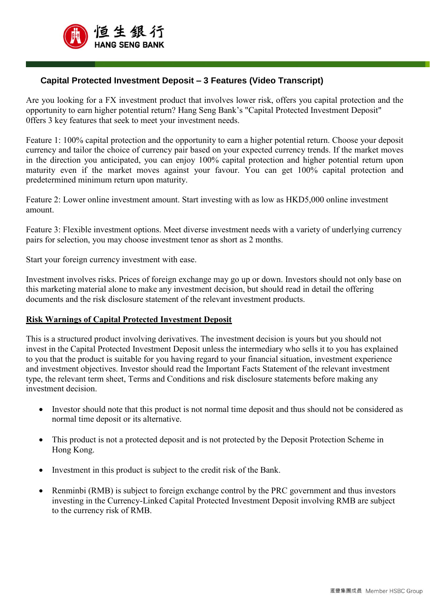

Ī

## **Capital Protected Investment Deposit – 3 Features (Video Transcript)**

Are you looking for a FX investment product that involves lower risk, offers you capital protection and the opportunity to earn higher potential return? Hang Seng Bank's "Capital Protected Investment Deposit" 0ffers 3 key features that seek to meet your investment needs.

Feature 1: 100% capital protection and the opportunity to earn a higher potential return. Choose your deposit currency and tailor the choice of currency pair based on your expected currency trends. If the market moves in the direction you anticipated, you can enjoy 100% capital protection and higher potential return upon maturity even if the market moves against your favour. You can get 100% capital protection and predetermined minimum return upon maturity.

Feature 2: Lower online investment amount. Start investing with as low as HKD5,000 online investment amount.

Feature 3: Flexible investment options. Meet diverse investment needs with a variety of underlying currency pairs for selection, you may choose investment tenor as short as 2 months.

Start your foreign currency investment with ease.

Investment involves risks. Prices of foreign exchange may go up or down. Investors should not only base on this marketing material alone to make any investment decision, but should read in detail the offering documents and the risk disclosure statement of the relevant investment products.

## **Risk Warnings of Capital Protected Investment Deposit**

This is a structured product involving derivatives. The investment decision is yours but you should not invest in the Capital Protected Investment Deposit unless the intermediary who sells it to you has explained to you that the product is suitable for you having regard to your financial situation, investment experience and investment objectives. Investor should read the Important Facts Statement of the relevant investment type, the relevant term sheet, Terms and Conditions and risk disclosure statements before making any investment decision.

- Investor should note that this product is not normal time deposit and thus should not be considered as normal time deposit or its alternative.
- This product is not a protected deposit and is not protected by the Deposit Protection Scheme in Hong Kong.
- Investment in this product is subject to the credit risk of the Bank.
- Renminbi (RMB) is subject to foreign exchange control by the PRC government and thus investors investing in the Currency-Linked Capital Protected Investment Deposit involving RMB are subject to the currency risk of RMB.